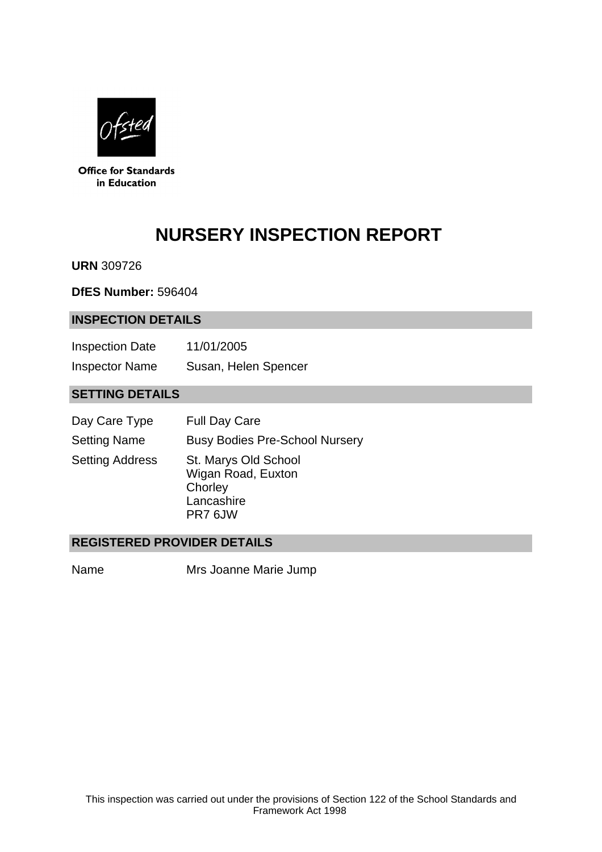

**Office for Standards** in Education

# **NURSERY INSPECTION REPORT**

**URN** 309726

**DfES Number:** 596404

#### **INSPECTION DETAILS**

| <b>Inspection Date</b> | 11/01/2005           |
|------------------------|----------------------|
| <b>Inspector Name</b>  | Susan, Helen Spencer |

## **SETTING DETAILS**

| Day Care Type          | <b>Full Day Care</b>                                                           |
|------------------------|--------------------------------------------------------------------------------|
| <b>Setting Name</b>    | <b>Busy Bodies Pre-School Nursery</b>                                          |
| <b>Setting Address</b> | St. Marys Old School<br>Wigan Road, Euxton<br>Chorley<br>Lancashire<br>PR7 6JW |

#### **REGISTERED PROVIDER DETAILS**

Name Mrs Joanne Marie Jump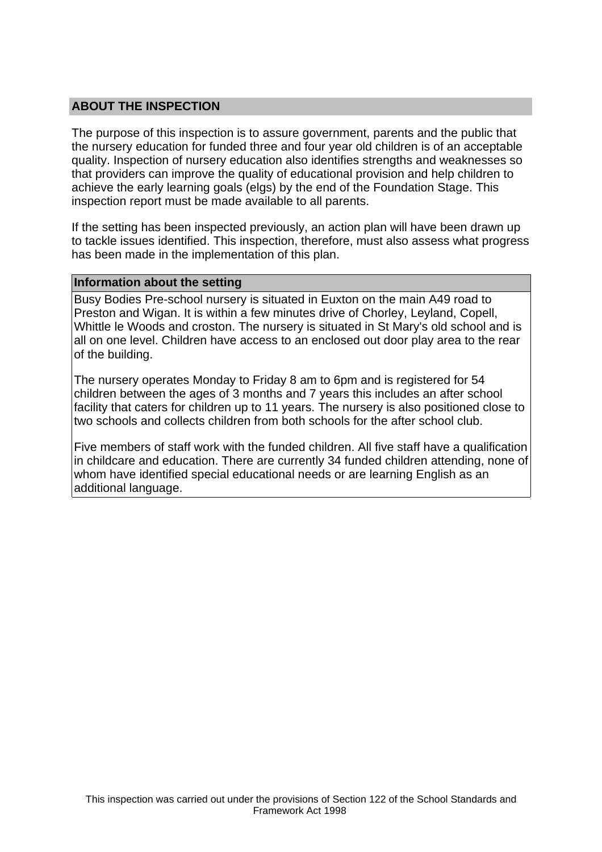## **ABOUT THE INSPECTION**

The purpose of this inspection is to assure government, parents and the public that the nursery education for funded three and four year old children is of an acceptable quality. Inspection of nursery education also identifies strengths and weaknesses so that providers can improve the quality of educational provision and help children to achieve the early learning goals (elgs) by the end of the Foundation Stage. This inspection report must be made available to all parents.

If the setting has been inspected previously, an action plan will have been drawn up to tackle issues identified. This inspection, therefore, must also assess what progress has been made in the implementation of this plan.

#### **Information about the setting**

Busy Bodies Pre-school nursery is situated in Euxton on the main A49 road to Preston and Wigan. It is within a few minutes drive of Chorley, Leyland, Copell, Whittle le Woods and croston. The nursery is situated in St Mary's old school and is all on one level. Children have access to an enclosed out door play area to the rear of the building.

The nursery operates Monday to Friday 8 am to 6pm and is registered for 54 children between the ages of 3 months and 7 years this includes an after school facility that caters for children up to 11 years. The nursery is also positioned close to two schools and collects children from both schools for the after school club.

Five members of staff work with the funded children. All five staff have a qualification in childcare and education. There are currently 34 funded children attending, none of whom have identified special educational needs or are learning English as an additional language.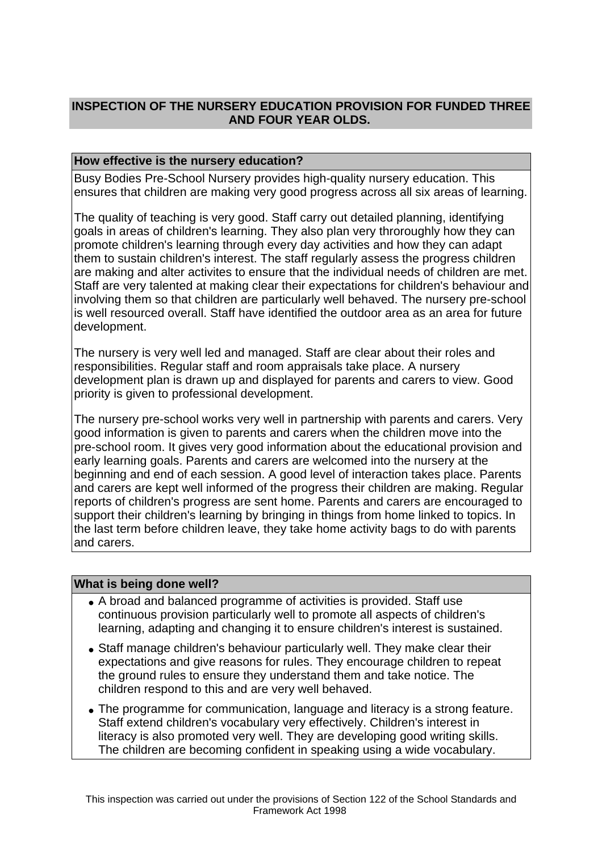# **INSPECTION OF THE NURSERY EDUCATION PROVISION FOR FUNDED THREE AND FOUR YEAR OLDS.**

## **How effective is the nursery education?**

Busy Bodies Pre-School Nursery provides high-quality nursery education. This ensures that children are making very good progress across all six areas of learning.

The quality of teaching is very good. Staff carry out detailed planning, identifying goals in areas of children's learning. They also plan very throroughly how they can promote children's learning through every day activities and how they can adapt them to sustain children's interest. The staff regularly assess the progress children are making and alter activites to ensure that the individual needs of children are met. Staff are very talented at making clear their expectations for children's behaviour and involving them so that children are particularly well behaved. The nursery pre-school is well resourced overall. Staff have identified the outdoor area as an area for future development.

The nursery is very well led and managed. Staff are clear about their roles and responsibilities. Regular staff and room appraisals take place. A nursery development plan is drawn up and displayed for parents and carers to view. Good priority is given to professional development.

The nursery pre-school works very well in partnership with parents and carers. Very good information is given to parents and carers when the children move into the pre-school room. It gives very good information about the educational provision and early learning goals. Parents and carers are welcomed into the nursery at the beginning and end of each session. A good level of interaction takes place. Parents and carers are kept well informed of the progress their children are making. Regular reports of children's progress are sent home. Parents and carers are encouraged to support their children's learning by bringing in things from home linked to topics. In the last term before children leave, they take home activity bags to do with parents and carers.

#### **What is being done well?**

- A broad and balanced programme of activities is provided. Staff use continuous provision particularly well to promote all aspects of children's learning, adapting and changing it to ensure children's interest is sustained.
- Staff manage children's behaviour particularly well. They make clear their expectations and give reasons for rules. They encourage children to repeat the ground rules to ensure they understand them and take notice. The children respond to this and are very well behaved.
- The programme for communication, language and literacy is a strong feature. Staff extend children's vocabulary very effectively. Children's interest in literacy is also promoted very well. They are developing good writing skills. The children are becoming confident in speaking using a wide vocabulary.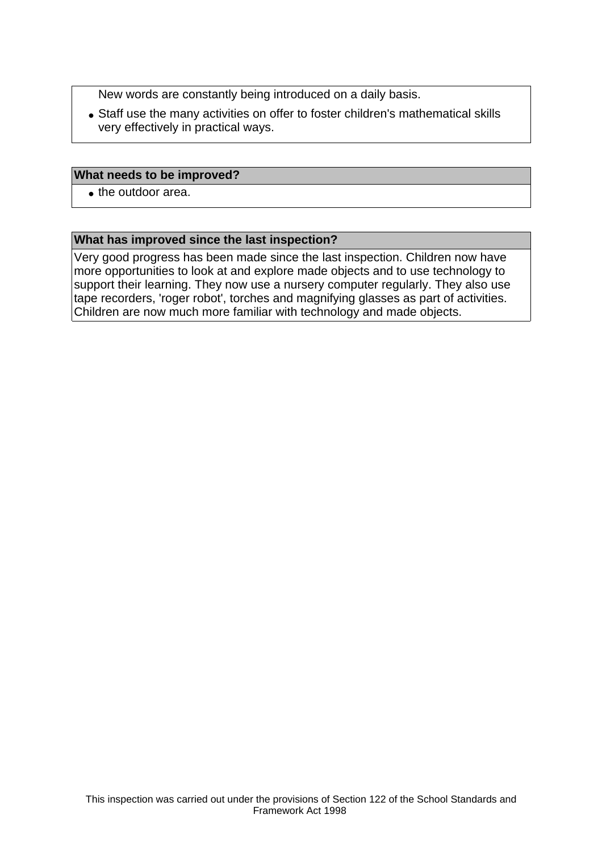New words are constantly being introduced on a daily basis.

• Staff use the many activities on offer to foster children's mathematical skills very effectively in practical ways.

#### **What needs to be improved?**

• the outdoor area.

#### **What has improved since the last inspection?**

Very good progress has been made since the last inspection. Children now have more opportunities to look at and explore made objects and to use technology to support their learning. They now use a nursery computer regularly. They also use tape recorders, 'roger robot', torches and magnifying glasses as part of activities. Children are now much more familiar with technology and made objects.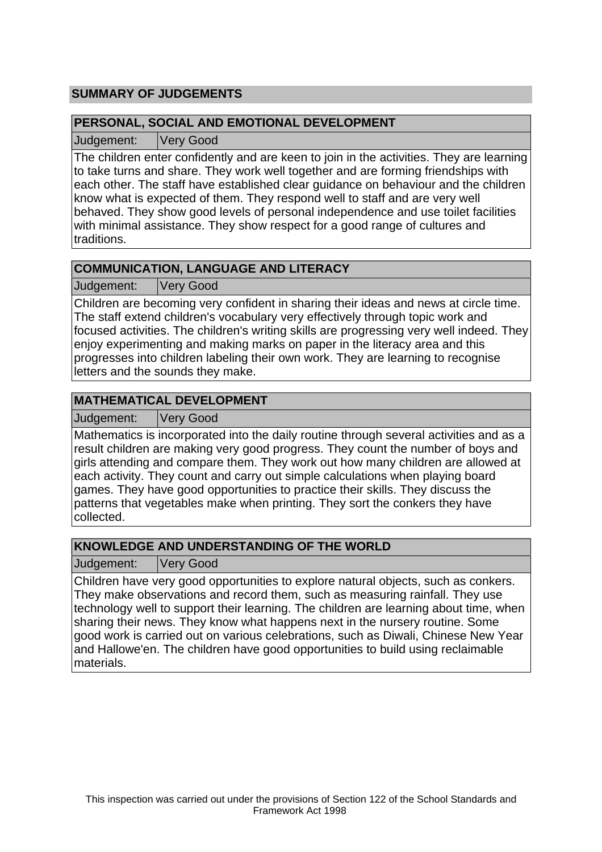# **SUMMARY OF JUDGEMENTS**

## **PERSONAL, SOCIAL AND EMOTIONAL DEVELOPMENT**

Judgement: Very Good

The children enter confidently and are keen to join in the activities. They are learning to take turns and share. They work well together and are forming friendships with each other. The staff have established clear guidance on behaviour and the children know what is expected of them. They respond well to staff and are very well behaved. They show good levels of personal independence and use toilet facilities with minimal assistance. They show respect for a good range of cultures and traditions.

# **COMMUNICATION, LANGUAGE AND LITERACY**

Judgement: Very Good

Children are becoming very confident in sharing their ideas and news at circle time. The staff extend children's vocabulary very effectively through topic work and focused activities. The children's writing skills are progressing very well indeed. They enjoy experimenting and making marks on paper in the literacy area and this progresses into children labeling their own work. They are learning to recognise letters and the sounds they make.

## **MATHEMATICAL DEVELOPMENT**

Judgement: Very Good

Mathematics is incorporated into the daily routine through several activities and as a result children are making very good progress. They count the number of boys and girls attending and compare them. They work out how many children are allowed at each activity. They count and carry out simple calculations when playing board games. They have good opportunities to practice their skills. They discuss the patterns that vegetables make when printing. They sort the conkers they have collected.

# **KNOWLEDGE AND UNDERSTANDING OF THE WORLD**

Judgement: Very Good

Children have very good opportunities to explore natural objects, such as conkers. They make observations and record them, such as measuring rainfall. They use technology well to support their learning. The children are learning about time, when sharing their news. They know what happens next in the nursery routine. Some good work is carried out on various celebrations, such as Diwali, Chinese New Year and Hallowe'en. The children have good opportunities to build using reclaimable materials.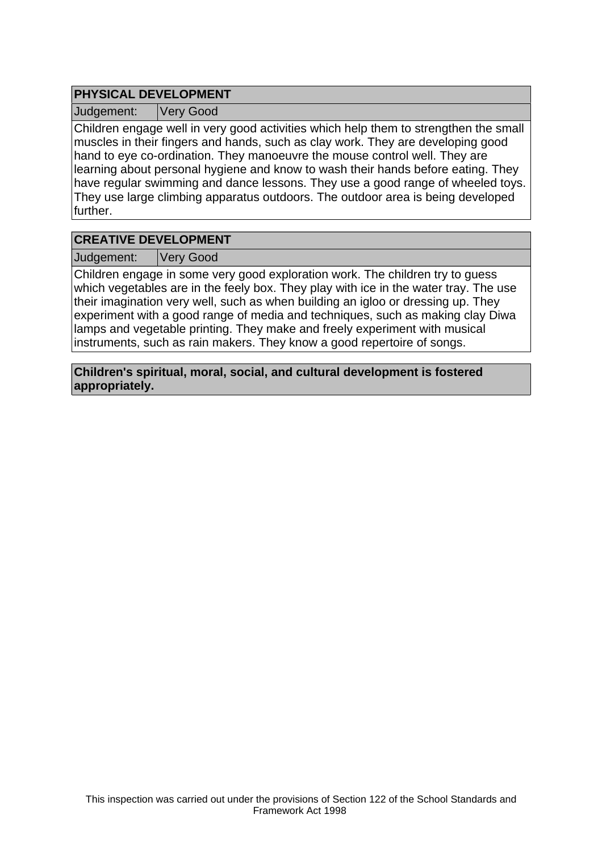# **PHYSICAL DEVELOPMENT**

Judgement: Very Good

Children engage well in very good activities which help them to strengthen the small muscles in their fingers and hands, such as clay work. They are developing good hand to eye co-ordination. They manoeuvre the mouse control well. They are learning about personal hygiene and know to wash their hands before eating. They have regular swimming and dance lessons. They use a good range of wheeled toys. They use large climbing apparatus outdoors. The outdoor area is being developed further.

## **CREATIVE DEVELOPMENT**

Judgement: Very Good

Children engage in some very good exploration work. The children try to guess which vegetables are in the feely box. They play with ice in the water tray. The use their imagination very well, such as when building an igloo or dressing up. They experiment with a good range of media and techniques, such as making clay Diwa lamps and vegetable printing. They make and freely experiment with musical instruments, such as rain makers. They know a good repertoire of songs.

**Children's spiritual, moral, social, and cultural development is fostered appropriately.**